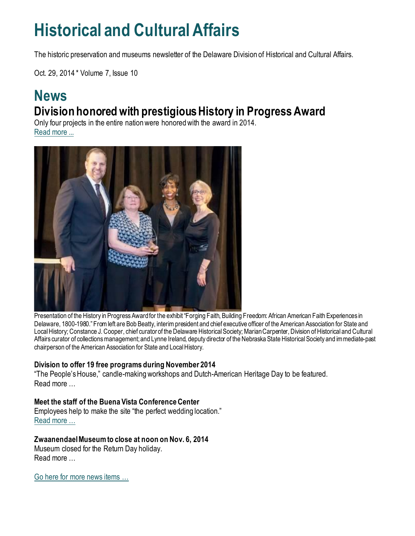## **Historical and Cultural Affairs**

The historic preservation and museums newsletter of the Delaware Division of Historical and Cultural Affairs.

Oct. 29, 2014 \* Volume 7, Issue 10

### **News Division honored with prestigious History in Progress Award**

Only four projects in the entire nation were honored with the award in 2014. [Read more ...](https://history.delaware.gov/2014/10/15/division-honored-with-prestigious-history-in-progress-award/)



Presentation of the History in Progress Award for the exhibit "Forging Faith, Building Freedom: African American Faith Experiences in Delaware, 1800-1980." From left are Bob Beatty, interim president and chief executive officer of the American Association for State and Local History; Constance J. Cooper, chief curator of the Delaware Historical Society; Marian Carpenter, Division of Historical and Cultural Affairs curator of collections management; and Lynne Ireland, deputy director of the Nebraska State Historical Society and immediate-past chairperson of the American Association for State and Local History.

#### **Division to offer 19 free programs during November 2014**

"The People's House," candle-making workshops and Dutch-American Heritage Day to be featured. Read more

#### **Meet the staff of the Buena Vista Conference Center**

Employees help to make the site "the perfect wedding location." [Read more …](https://history.delaware.gov/2014/10/29/meet-the-staff-of-the-buena-vista-conference-center/)

#### **Zwaanendael Museum to close at noon on Nov. 6, 2014**

Museum closed for the Return Day holiday. Read more …

Go here [for more news items …](http://history.blogs.delaware.gov/)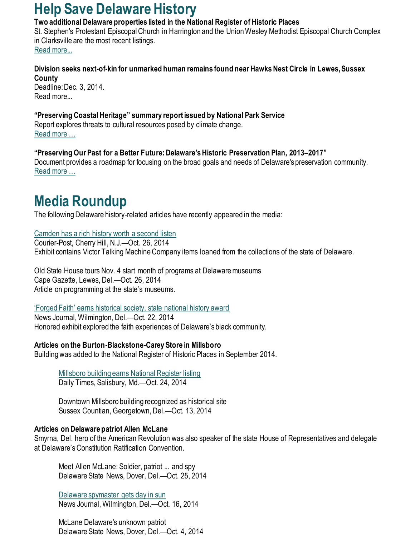## **Help Save Delaware History**

#### **Two additional Delaware properties listed in the National Register of Historic Places**

St. Stephen's Protestant Episcopal Church in Harrington and the Union Wesley Methodist Episcopal Church Complex in Clarksville are the most recent listings. [Read more...](https://history.delaware.gov/2014/10/29/two-additional-delaware-properties-listed-in-the-national-register-of-historic-places/)

**Division seeks next-of-kin for unmarked human remains found near Hawks Nest Circle in Lewes, Sussex County**  Deadline: Dec. 3, 2014. Read more...

**"Preserving Coastal Heritage" summary report issued by National Park Service** Report explores threats to cultural resources posed by climate change. [Read more …](https://drive.google.com/viewerng/viewer?a=v&pid=sites&srcid=ZGVmYXVsdGRvbWFpbnxkZW1vY2xpbWN1bHR8Z3g6MjM0NzUzMTFhYjU4OGY4ZQ)

**"Preserving Our Past for a Better Future: Delaware's Historic Preservation Plan, 2013–2017"** Document provides a roadmap for focusing on the broad goals and needs of Delaware's preservation community. [Read more …](https://history.delaware.gov/wp-content/uploads/sites/179/2019/02/Preservation-Plan-2013-2017.pdf)

## **Media Roundup**

The following Delaware history-related articles have recently appeared in the media:

#### [Camden has a rich history worth a second listen](https://www.courierpostonline.com/story/life/2014/10/26/camden-rich-history-worth-second-listen/17957547/)

Courier-Post, Cherry Hill, N.J.—Oct. 26, 2014 Exhibit contains Victor Talking Machine Company items loaned from the collections of the state of Delaware.

Old State House tours Nov. 4 start month of programs at Delaware museums Cape Gazette, Lewes, Del.—Oct. 26, 2014 Article on programming at the state's museums.

#### 'Forged [Faith' earns historical society, state national history award](https://www.delawareonline.com/story/life/2014/10/22/forged-faith-earns-historical-society-state-national-history-award/17576909/)

News Journal, Wilmington, Del.—Oct. 22, 2014 Honored exhibit explored the faith experiences of Delaware's black community.

#### **Articles on the Burton-Blackstone-Carey Store in Millsboro**

Building was added to the National Register of Historic Places in September 2014.

[Millsboro building earns National Register listing](https://www.delmarvanow.com/story/news/local/delaware/2014/10/24/careys-millsboro-national-regisater/17858427/) Daily Times, Salisbury, Md.—Oct. 24, 2014

Downtown Millsboro building recognized as historical site Sussex Countian, Georgetown, Del.—Oct. 13, 2014

#### **Articles on Delaware patriot Allen McLane**

Smyrna, Del. hero of the American Revolution was also speaker of the state House of Representatives and delegate at Delaware's Constitution Ratification Convention.

Meet Allen McLane: Soldier, patriot ... and spy Delaware State News, Dover, Del.—Oct. 25, 2014

[Delaware spymaster gets day in sun](https://www.delawareonline.com/story/life/2014/10/16/delaware-spymaster-gets-day-sun/17344197/) News Journal, Wilmington, Del.—Oct. 16, 2014

McLane Delaware's unknown patriot Delaware State News, Dover, Del.—Oct. 4, 2014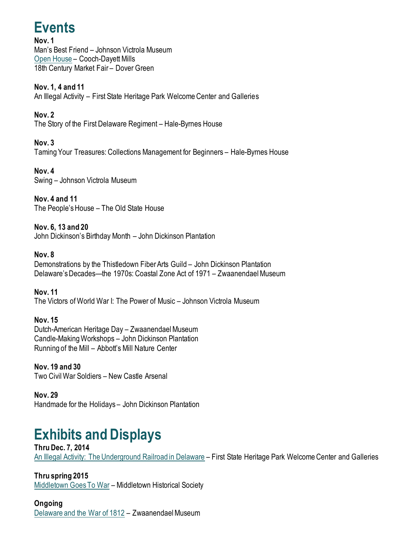## **Events**

**Nov. 1** Man's Best Friend – Johnson Victrola Museum [Open House](http://history.blogs.delaware.gov/2014/09/25/history-was-made-here-cooch-dayett-mills/) – Cooch-Dayett Mills 18th Century Market Fair – Dover Green

**Nov. 1, 4 and 11**  An Illegal Activity – First State Heritage Park Welcome Center and Galleries

**Nov. 2** The Story of the First Delaware Regiment – Hale-Byrnes House

**Nov. 3** Taming Your Treasures: Collections Management for Beginners – Hale-Byrnes House

**Nov. 4** Swing – Johnson Victrola Museum

**Nov. 4 and 11** The People's House – The Old State House

**Nov. 6, 13 and 20** John Dickinson's Birthday Month – John Dickinson Plantation

#### **Nov. 8**

Demonstrations by the Thistledown Fiber Arts Guild – John Dickinson Plantation Delaware's Decades—the 1970s: Coastal Zone Act of 1971 – Zwaanendael Museum

**Nov. 11** The Victors of World War I: The Power of Music – Johnson Victrola Museum

**Nov. 15** Dutch-American Heritage Day – Zwaanendael Museum Candle-Making Workshops – John Dickinson Plantation Running of the Mill – Abbott's Mill Nature Center

**Nov. 19 and 30** Two Civil War Soldiers – New Castle Arsenal

**Nov. 29** Handmade for the Holidays – John Dickinson Plantation

## **Exhibits and Displays**

**Thru Dec. 7, 2014** [An Illegal Activity: The Underground Railroad in Delaware](https://history.delaware.gov/2014/08/26/an-illegal-activity-the-underground-railroad-in-delaware-exhibit-extended-through-dec-7-2014/) – First State Heritage Park Welcome Center and Galleries

**Thru spring 2015** [Middletown Goes To War](http://history.blogs.delaware.gov/2014/07/01/middletown-goes-to-war-exhibit-at-the-middletown-historical-society/) – Middletown Historical Society

**Ongoing** [Delaware and the War of 1812](https://history.delaware.gov/2014/09/10/zwaanendael-museum-features-exhibit-delaware-and-the-war-of-1812/) – Zwaanendael Museum